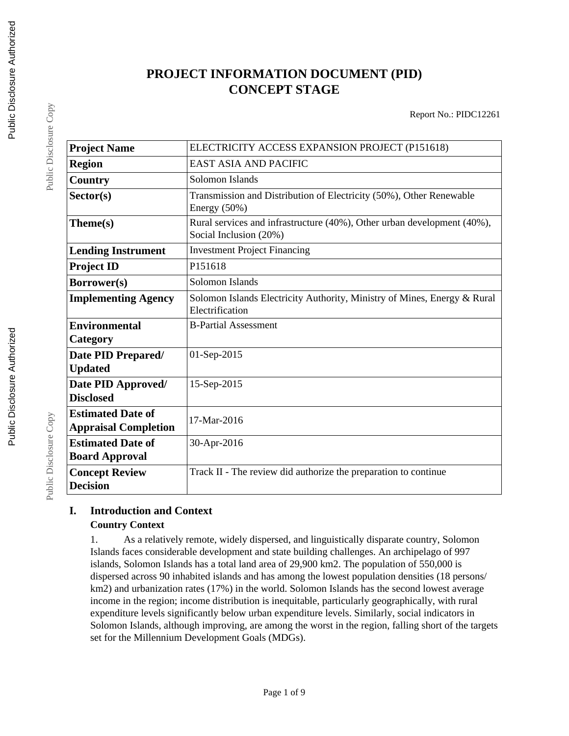# **PROJECT INFORMATION DOCUMENT (PID) CONCEPT STAGE**

Report No.: PIDC12261

| <b>Project Name</b>                                     | ELECTRICITY ACCESS EXPANSION PROJECT (P151618)                                                    |
|---------------------------------------------------------|---------------------------------------------------------------------------------------------------|
| <b>Region</b>                                           | <b>EAST ASIA AND PACIFIC</b>                                                                      |
| Country                                                 | Solomon Islands                                                                                   |
| Sector(s)                                               | Transmission and Distribution of Electricity (50%), Other Renewable<br>Energy $(50\%)$            |
| Theme(s)                                                | Rural services and infrastructure (40%), Other urban development (40%),<br>Social Inclusion (20%) |
| <b>Lending Instrument</b>                               | <b>Investment Project Financing</b>                                                               |
| <b>Project ID</b>                                       | P151618                                                                                           |
| Borrower(s)                                             | Solomon Islands                                                                                   |
| <b>Implementing Agency</b>                              | Solomon Islands Electricity Authority, Ministry of Mines, Energy & Rural<br>Electrification       |
| <b>Environmental</b><br>Category                        | <b>B-Partial Assessment</b>                                                                       |
| Date PID Prepared/<br><b>Updated</b>                    | 01-Sep-2015                                                                                       |
| Date PID Approved/<br><b>Disclosed</b>                  | 15-Sep-2015                                                                                       |
| <b>Estimated Date of</b><br><b>Appraisal Completion</b> | 17-Mar-2016                                                                                       |
| <b>Estimated Date of</b><br><b>Board Approval</b>       | 30-Apr-2016                                                                                       |
| <b>Concept Review</b><br><b>Decision</b>                | Track II - The review did authorize the preparation to continue                                   |

## **I. Introduction and Context Country Context**

1. As a relatively remote, widely dispersed, and linguistically disparate country, Solomon Islands faces considerable development and state building challenges. An archipelago of 997 islands, Solomon Islands has a total land area of 29,900 km2. The population of 550,000 is dispersed across 90 inhabited islands and has among the lowest population densities (18 persons/ km2) and urbanization rates (17%) in the world. Solomon Islands has the second lowest average income in the region; income distribution is inequitable, particularly geographically, with rural expenditure levels significantly below urban expenditure levels. Similarly, social indicators in Solomon Islands, although improving, are among the worst in the region, falling short of the targets set for the Millennium Development Goals (MDGs).

Public Disclosure Copy

Public Disclosure Copy

Public Disclosure Copy

Public Disclosure Copy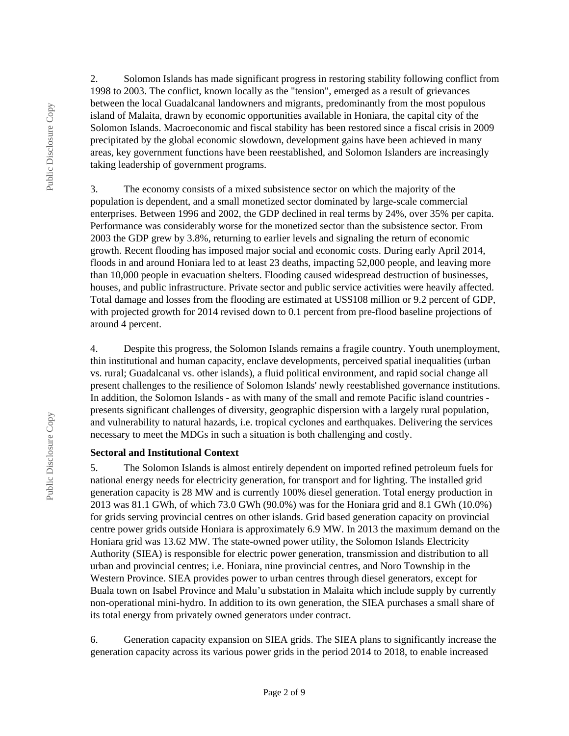2. Solomon Islands has made significant progress in restoring stability following conflict from 1998 to 2003. The conflict, known locally as the "tension", emerged as a result of grievances between the local Guadalcanal landowners and migrants, predominantly from the most populous island of Malaita, drawn by economic opportunities available in Honiara, the capital city of the Solomon Islands. Macroeconomic and fiscal stability has been restored since a fiscal crisis in 2009 precipitated by the global economic slowdown, development gains have been achieved in many areas, key government functions have been reestablished, and Solomon Islanders are increasingly taking leadership of government programs.

3. The economy consists of a mixed subsistence sector on which the majority of the population is dependent, and a small monetized sector dominated by large-scale commercial enterprises. Between 1996 and 2002, the GDP declined in real terms by 24%, over 35% per capita. Performance was considerably worse for the monetized sector than the subsistence sector. From 2003 the GDP grew by 3.8%, returning to earlier levels and signaling the return of economic growth. Recent flooding has imposed major social and economic costs. During early April 2014, floods in and around Honiara led to at least 23 deaths, impacting 52,000 people, and leaving more than 10,000 people in evacuation shelters. Flooding caused widespread destruction of businesses, houses, and public infrastructure. Private sector and public service activities were heavily affected. Total damage and losses from the flooding are estimated at US\$108 million or 9.2 percent of GDP, with projected growth for 2014 revised down to 0.1 percent from pre-flood baseline projections of around 4 percent.

4. Despite this progress, the Solomon Islands remains a fragile country. Youth unemployment, thin institutional and human capacity, enclave developments, perceived spatial inequalities (urban vs. rural; Guadalcanal vs. other islands), a fluid political environment, and rapid social change all present challenges to the resilience of Solomon Islands' newly reestablished governance institutions. In addition, the Solomon Islands - as with many of the small and remote Pacific island countries presents significant challenges of diversity, geographic dispersion with a largely rural population, and vulnerability to natural hazards, i.e. tropical cyclones and earthquakes. Delivering the services necessary to meet the MDGs in such a situation is both challenging and costly.

#### **Sectoral and Institutional Context**

5. The Solomon Islands is almost entirely dependent on imported refined petroleum fuels for national energy needs for electricity generation, for transport and for lighting. The installed grid generation capacity is 28 MW and is currently 100% diesel generation. Total energy production in 2013 was 81.1 GWh, of which 73.0 GWh (90.0%) was for the Honiara grid and 8.1 GWh (10.0%) for grids serving provincial centres on other islands. Grid based generation capacity on provincial centre power grids outside Honiara is approximately 6.9 MW. In 2013 the maximum demand on the Honiara grid was 13.62 MW. The state-owned power utility, the Solomon Islands Electricity Authority (SIEA) is responsible for electric power generation, transmission and distribution to all urban and provincial centres; i.e. Honiara, nine provincial centres, and Noro Township in the Western Province. SIEA provides power to urban centres through diesel generators, except for Buala town on Isabel Province and Malu'u substation in Malaita which include supply by currently non-operational mini-hydro. In addition to its own generation, the SIEA purchases a small share of its total energy from privately owned generators under contract.

6. Generation capacity expansion on SIEA grids. The SIEA plans to significantly increase the generation capacity across its various power grids in the period 2014 to 2018, to enable increased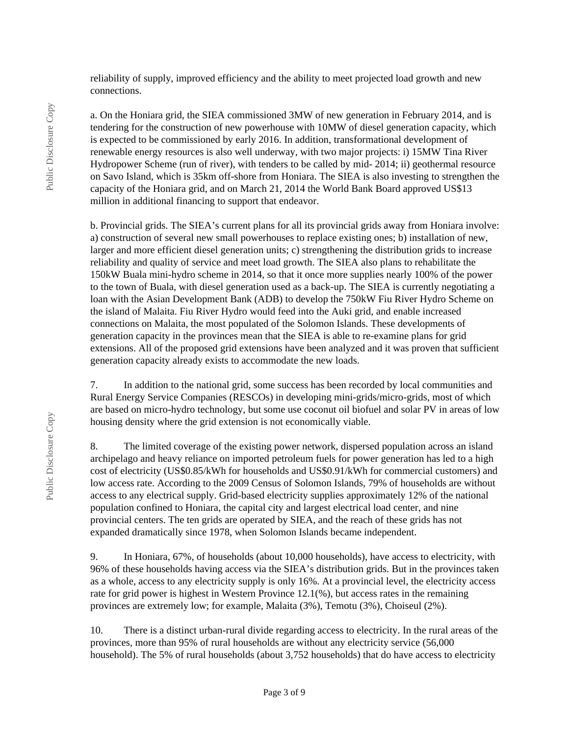reliability of supply, improved efficiency and the ability to meet projected load growth and new connections.

a. On the Honiara grid, the SIEA commissioned 3MW of new generation in February 2014, and is tendering for the construction of new powerhouse with 10MW of diesel generation capacity, which is expected to be commissioned by early 2016. In addition, transformational development of renewable energy resources is also well underway, with two major projects: i) 15MW Tina River Hydropower Scheme (run of river), with tenders to be called by mid- 2014; ii) geothermal resource on Savo Island, which is 35km off-shore from Honiara. The SIEA is also investing to strengthen the capacity of the Honiara grid, and on March 21, 2014 the World Bank Board approved US\$13 million in additional financing to support that endeavor.

b. Provincial grids. The SIEA's current plans for all its provincial grids away from Honiara involve: a) construction of several new small powerhouses to replace existing ones; b) installation of new, larger and more efficient diesel generation units; c) strengthening the distribution grids to increase reliability and quality of service and meet load growth. The SIEA also plans to rehabilitate the 150kW Buala mini-hydro scheme in 2014, so that it once more supplies nearly 100% of the power to the town of Buala, with diesel generation used as a back-up. The SIEA is currently negotiating a loan with the Asian Development Bank (ADB) to develop the 750kW Fiu River Hydro Scheme on the island of Malaita. Fiu River Hydro would feed into the Auki grid, and enable increased connections on Malaita, the most populated of the Solomon Islands. These developments of generation capacity in the provinces mean that the SIEA is able to re-examine plans for grid extensions. All of the proposed grid extensions have been analyzed and it was proven that sufficient generation capacity already exists to accommodate the new loads.

7. In addition to the national grid, some success has been recorded by local communities and Rural Energy Service Companies (RESCOs) in developing mini-grids/micro-grids, most of which are based on micro-hydro technology, but some use coconut oil biofuel and solar PV in areas of low housing density where the grid extension is not economically viable.

8. The limited coverage of the existing power network, dispersed population across an island archipelago and heavy reliance on imported petroleum fuels for power generation has led to a high cost of electricity (US\$0.85/kWh for households and US\$0.91/kWh for commercial customers) and low access rate. According to the 2009 Census of Solomon Islands, 79% of households are without access to any electrical supply. Grid-based electricity supplies approximately 12% of the national population confined to Honiara, the capital city and largest electrical load center, and nine provincial centers. The ten grids are operated by SIEA, and the reach of these grids has not expanded dramatically since 1978, when Solomon Islands became independent.

9. In Honiara, 67%, of households (about 10,000 households), have access to electricity, with 96% of these households having access via the SIEA's distribution grids. But in the provinces taken as a whole, access to any electricity supply is only 16%. At a provincial level, the electricity access rate for grid power is highest in Western Province 12.1(%), but access rates in the remaining provinces are extremely low; for example, Malaita (3%), Temotu (3%), Choiseul (2%).

10. There is a distinct urban-rural divide regarding access to electricity. In the rural areas of the provinces, more than 95% of rural households are without any electricity service (56,000 household). The 5% of rural households (about 3,752 households) that do have access to electricity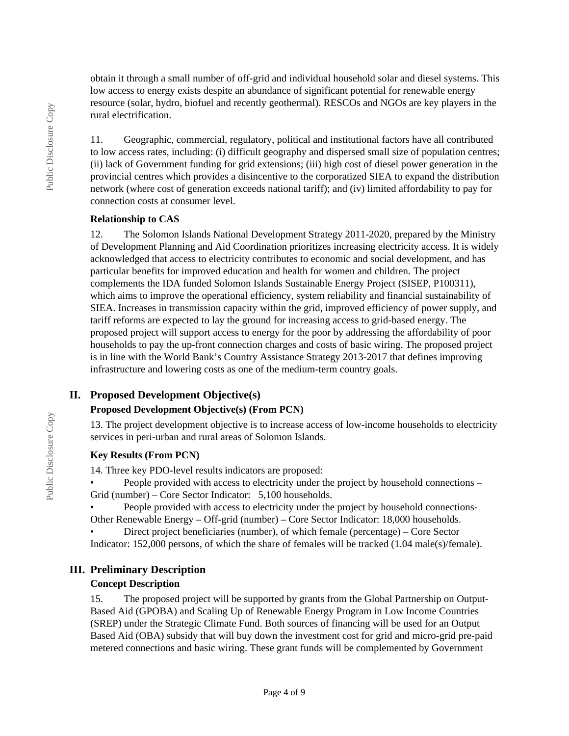obtain it through a small number of off-grid and individual household solar and diesel systems. This low access to energy exists despite an abundance of significant potential for renewable energy resource (solar, hydro, biofuel and recently geothermal). RESCOs and NGOs are key players in the rural electrification.

11. Geographic, commercial, regulatory, political and institutional factors have all contributed to low access rates, including: (i) difficult geography and dispersed small size of population centres; (ii) lack of Government funding for grid extensions; (iii) high cost of diesel power generation in the provincial centres which provides a disincentive to the corporatized SIEA to expand the distribution network (where cost of generation exceeds national tariff); and (iv) limited affordability to pay for connection costs at consumer level.

#### **Relationship to CAS**

12. The Solomon Islands National Development Strategy 2011-2020, prepared by the Ministry of Development Planning and Aid Coordination prioritizes increasing electricity access. It is widely acknowledged that access to electricity contributes to economic and social development, and has particular benefits for improved education and health for women and children. The project complements the IDA funded Solomon Islands Sustainable Energy Project (SISEP, P100311), which aims to improve the operational efficiency, system reliability and financial sustainability of SIEA. Increases in transmission capacity within the grid, improved efficiency of power supply, and tariff reforms are expected to lay the ground for increasing access to grid-based energy. The proposed project will support access to energy for the poor by addressing the affordability of poor households to pay the up-front connection charges and costs of basic wiring. The proposed project is in line with the World Bank's Country Assistance Strategy 2013-2017 that defines improving infrastructure and lowering costs as one of the medium-term country goals.

## **II. Proposed Development Objective(s)**

#### **Proposed Development Objective(s) (From PCN)**

13. The project development objective is to increase access of low-income households to electricity services in peri-urban and rural areas of Solomon Islands.

#### **Key Results (From PCN)**

14. Three key PDO-level results indicators are proposed:

• People provided with access to electricity under the project by household connections – Grid (number) – Core Sector Indicator: 5,100 households.

• People provided with access to electricity under the project by household connections-Other Renewable Energy – Off-grid (number) – Core Sector Indicator: 18,000 households.

• Direct project beneficiaries (number), of which female (percentage) – Core Sector Indicator: 152,000 persons, of which the share of females will be tracked (1.04 male(s)/female).

### **III. Preliminary Description**

#### **Concept Description**

15. The proposed project will be supported by grants from the Global Partnership on Output-Based Aid (GPOBA) and Scaling Up of Renewable Energy Program in Low Income Countries (SREP) under the Strategic Climate Fund. Both sources of financing will be used for an Output Based Aid (OBA) subsidy that will buy down the investment cost for grid and micro-grid pre-paid metered connections and basic wiring. These grant funds will be complemented by Government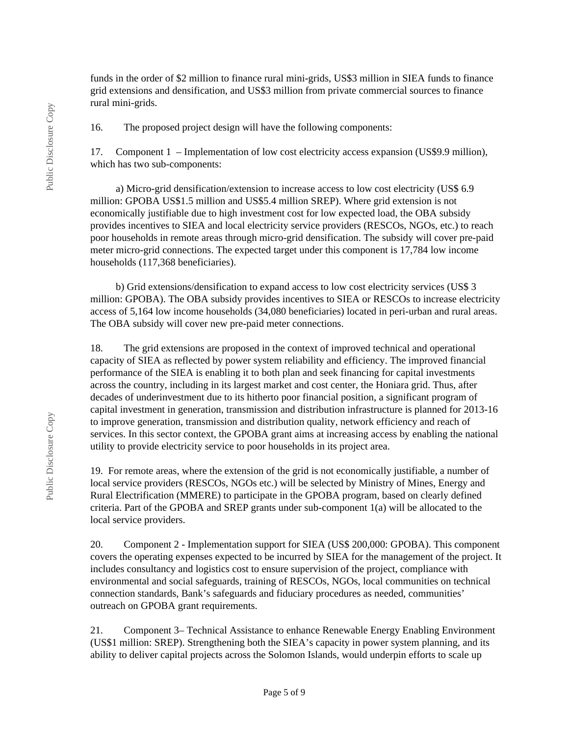funds in the order of \$2 million to finance rural mini-grids, US\$3 million in SIEA funds to finance grid extensions and densification, and US\$3 million from private commercial sources to finance rural mini-grids.

16. The proposed project design will have the following components:

17. Component 1 – Implementation of low cost electricity access expansion (US\$9.9 million), which has two sub-components:

 a) Micro-grid densification/extension to increase access to low cost electricity (US\$ 6.9 million: GPOBA US\$1.5 million and US\$5.4 million SREP). Where grid extension is not economically justifiable due to high investment cost for low expected load, the OBA subsidy provides incentives to SIEA and local electricity service providers (RESCOs, NGOs, etc.) to reach poor households in remote areas through micro-grid densification. The subsidy will cover pre-paid meter micro-grid connections. The expected target under this component is 17,784 low income households (117,368 beneficiaries).

 b) Grid extensions/densification to expand access to low cost electricity services (US\$ 3 million: GPOBA). The OBA subsidy provides incentives to SIEA or RESCOs to increase electricity access of 5,164 low income households (34,080 beneficiaries) located in peri-urban and rural areas. The OBA subsidy will cover new pre-paid meter connections.

18. The grid extensions are proposed in the context of improved technical and operational capacity of SIEA as reflected by power system reliability and efficiency. The improved financial performance of the SIEA is enabling it to both plan and seek financing for capital investments across the country, including in its largest market and cost center, the Honiara grid. Thus, after decades of underinvestment due to its hitherto poor financial position, a significant program of capital investment in generation, transmission and distribution infrastructure is planned for 2013-16 to improve generation, transmission and distribution quality, network efficiency and reach of services. In this sector context, the GPOBA grant aims at increasing access by enabling the national utility to provide electricity service to poor households in its project area.

19. For remote areas, where the extension of the grid is not economically justifiable, a number of local service providers (RESCOs, NGOs etc.) will be selected by Ministry of Mines, Energy and Rural Electrification (MMERE) to participate in the GPOBA program, based on clearly defined criteria. Part of the GPOBA and SREP grants under sub-component 1(a) will be allocated to the local service providers.

20. Component 2 - Implementation support for SIEA (US\$ 200,000: GPOBA). This component covers the operating expenses expected to be incurred by SIEA for the management of the project. It includes consultancy and logistics cost to ensure supervision of the project, compliance with environmental and social safeguards, training of RESCOs, NGOs, local communities on technical connection standards, Bank's safeguards and fiduciary procedures as needed, communities' outreach on GPOBA grant requirements.

21. Component 3– Technical Assistance to enhance Renewable Energy Enabling Environment (US\$1 million: SREP). Strengthening both the SIEA's capacity in power system planning, and its ability to deliver capital projects across the Solomon Islands, would underpin efforts to scale up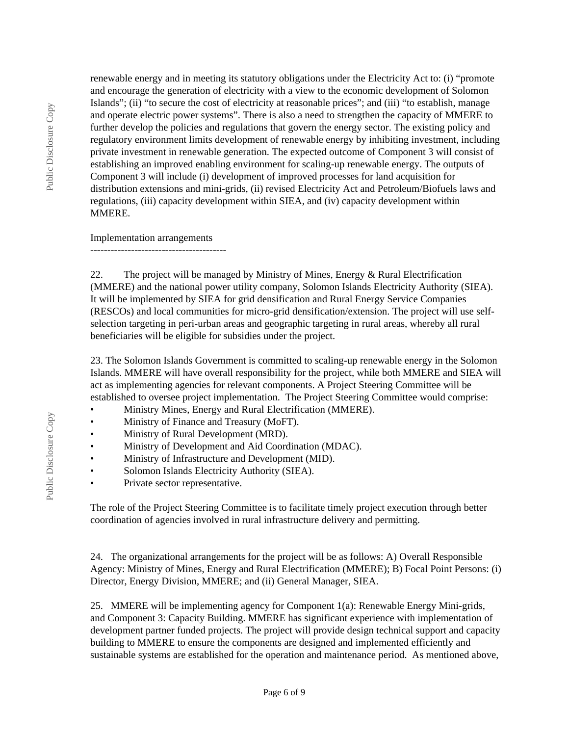renewable energy and in meeting its statutory obligations under the Electricity Act to: (i) "promote and encourage the generation of electricity with a view to the economic development of Solomon Islands"; (ii) "to secure the cost of electricity at reasonable prices"; and (iii) "to establish, manage and operate electric power systems". There is also a need to strengthen the capacity of MMERE to further develop the policies and regulations that govern the energy sector. The existing policy and regulatory environment limits development of renewable energy by inhibiting investment, including private investment in renewable generation. The expected outcome of Component 3 will consist of establishing an improved enabling environment for scaling-up renewable energy. The outputs of Component 3 will include (i) development of improved processes for land acquisition for distribution extensions and mini-grids, (ii) revised Electricity Act and Petroleum/Biofuels laws and regulations, (iii) capacity development within SIEA, and (iv) capacity development within MMERE.

Implementation arrangements

----------------------------------------

22. The project will be managed by Ministry of Mines, Energy & Rural Electrification (MMERE) and the national power utility company, Solomon Islands Electricity Authority (SIEA). It will be implemented by SIEA for grid densification and Rural Energy Service Companies (RESCOs) and local communities for micro-grid densification/extension. The project will use selfselection targeting in peri-urban areas and geographic targeting in rural areas, whereby all rural beneficiaries will be eligible for subsidies under the project.

23. The Solomon Islands Government is committed to scaling-up renewable energy in the Solomon Islands. MMERE will have overall responsibility for the project, while both MMERE and SIEA will act as implementing agencies for relevant components. A Project Steering Committee will be established to oversee project implementation. The Project Steering Committee would comprise:

- Ministry Mines, Energy and Rural Electrification (MMERE).
- Ministry of Finance and Treasury (MoFT).
- Ministry of Rural Development (MRD).
- Ministry of Development and Aid Coordination (MDAC).
- Ministry of Infrastructure and Development (MID).
- Solomon Islands Electricity Authority (SIEA).
- Private sector representative.

The role of the Project Steering Committee is to facilitate timely project execution through better coordination of agencies involved in rural infrastructure delivery and permitting.

24. The organizational arrangements for the project will be as follows: A) Overall Responsible Agency: Ministry of Mines, Energy and Rural Electrification (MMERE); B) Focal Point Persons: (i) Director, Energy Division, MMERE; and (ii) General Manager, SIEA.

25. MMERE will be implementing agency for Component 1(a): Renewable Energy Mini-grids, and Component 3: Capacity Building. MMERE has significant experience with implementation of development partner funded projects. The project will provide design technical support and capacity building to MMERE to ensure the components are designed and implemented efficiently and sustainable systems are established for the operation and maintenance period. As mentioned above,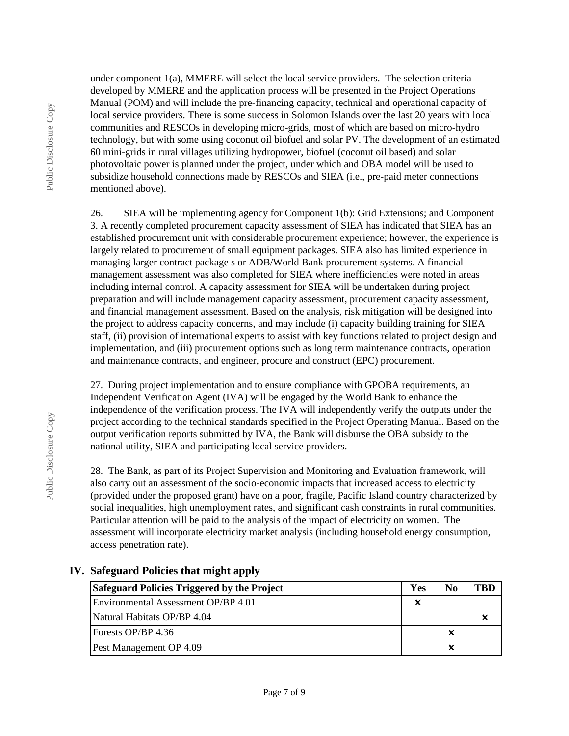Public Disclosure Copy

Public Disclosure Copy

under component  $1(a)$ , MMERE will select the local service providers. The selection criteria developed by MMERE and the application process will be presented in the Project Operations Manual (POM) and will include the pre-financing capacity, technical and operational capacity of local service providers. There is some success in Solomon Islands over the last 20 years with local communities and RESCOs in developing micro-grids, most of which are based on micro-hydro technology, but with some using coconut oil biofuel and solar PV. The development of an estimated 60 mini-grids in rural villages utilizing hydropower, biofuel (coconut oil based) and solar photovoltaic power is planned under the project, under which and OBA model will be used to subsidize household connections made by RESCOs and SIEA (i.e., pre-paid meter connections mentioned above).

26. SIEA will be implementing agency for Component 1(b): Grid Extensions; and Component 3. A recently completed procurement capacity assessment of SIEA has indicated that SIEA has an established procurement unit with considerable procurement experience; however, the experience is largely related to procurement of small equipment packages. SIEA also has limited experience in managing larger contract package s or ADB/World Bank procurement systems. A financial management assessment was also completed for SIEA where inefficiencies were noted in areas including internal control. A capacity assessment for SIEA will be undertaken during project preparation and will include management capacity assessment, procurement capacity assessment, and financial management assessment. Based on the analysis, risk mitigation will be designed into the project to address capacity concerns, and may include (i) capacity building training for SIEA staff, (ii) provision of international experts to assist with key functions related to project design and implementation, and (iii) procurement options such as long term maintenance contracts, operation and maintenance contracts, and engineer, procure and construct (EPC) procurement.

27. During project implementation and to ensure compliance with GPOBA requirements, an Independent Verification Agent (IVA) will be engaged by the World Bank to enhance the independence of the verification process. The IVA will independently verify the outputs under the project according to the technical standards specified in the Project Operating Manual. Based on the output verification reports submitted by IVA, the Bank will disburse the OBA subsidy to the national utility, SIEA and participating local service providers.

28. The Bank, as part of its Project Supervision and Monitoring and Evaluation framework, will also carry out an assessment of the socio-economic impacts that increased access to electricity (provided under the proposed grant) have on a poor, fragile, Pacific Island country characterized by social inequalities, high unemployment rates, and significant cash constraints in rural communities. Particular attention will be paid to the analysis of the impact of electricity on women. The assessment will incorporate electricity market analysis (including household energy consumption, access penetration rate).

| Safeguard Policies Triggered by the Project | Yes | No | "RL |
|---------------------------------------------|-----|----|-----|
| Environmental Assessment OP/BP 4.01         | x   |    |     |
| Natural Habitats OP/BP 4.04                 |     |    |     |
| Forests OP/BP 4.36                          |     | x  |     |
| Pest Management OP 4.09                     |     | x  |     |

### **IV. Safeguard Policies that might apply**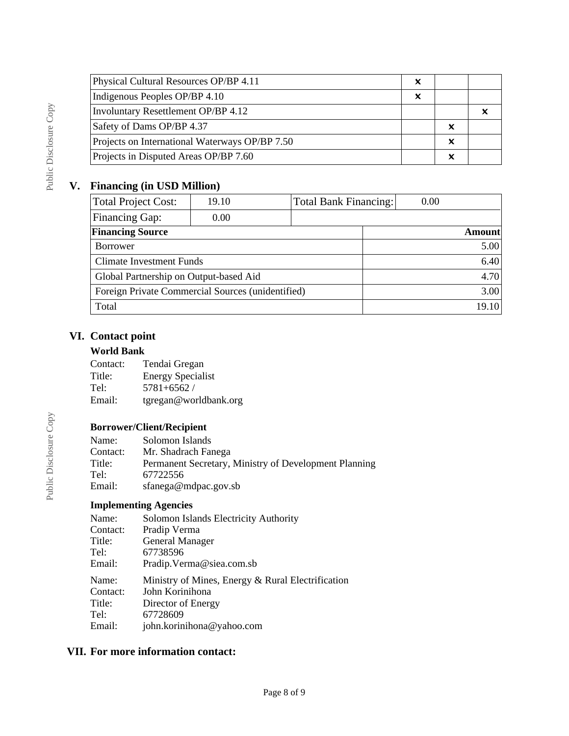| Physical Cultural Resources OP/BP 4.11         | x                         |   |  |
|------------------------------------------------|---------------------------|---|--|
| Indigenous Peoples OP/BP 4.10                  | $\boldsymbol{\mathsf{x}}$ |   |  |
| Involuntary Resettlement OP/BP 4.12            |                           |   |  |
| Safety of Dams OP/BP 4.37                      |                           | x |  |
| Projects on International Waterways OP/BP 7.50 |                           | x |  |
| Projects in Disputed Areas OP/BP 7.60          |                           | x |  |

# **V. Financing (in USD Million)**

| 19.10                           |                                        |                                                   | 0.00                         |        |
|---------------------------------|----------------------------------------|---------------------------------------------------|------------------------------|--------|
| 0.00                            |                                        |                                                   |                              |        |
|                                 |                                        |                                                   |                              | Amount |
|                                 |                                        |                                                   |                              | 5.00   |
| <b>Climate Investment Funds</b> |                                        |                                                   |                              | 6.40   |
|                                 |                                        |                                                   |                              | 4.70   |
|                                 |                                        |                                                   |                              | 3.00   |
|                                 |                                        |                                                   |                              | 19.10  |
|                                 | Global Partnership on Output-based Aid | Foreign Private Commercial Sources (unidentified) | <b>Total Bank Financing:</b> |        |

# **VI. Contact point**

## **World Bank**

| Contact: | Tendai Gregan            |
|----------|--------------------------|
| Title:   | <b>Energy Specialist</b> |
| Tel:     | $5781 + 6562$            |
| Email:   | tgregan@worldbank.org    |

# **Borrower/Client/Recipient**

| Name:    | Solomon Islands                                       |
|----------|-------------------------------------------------------|
| Contact: | Mr. Shadrach Fanega                                   |
| Title:   | Permanent Secretary, Ministry of Development Planning |
| Tel:     | 67722556                                              |
| Email:   | sfanega@mdpac.gov.sb                                  |

## **Implementing Agencies**

| Name:    | Solomon Islands Electricity Authority                                |
|----------|----------------------------------------------------------------------|
| Contact: | Pradip Verma                                                         |
| Title:   | <b>General Manager</b>                                               |
| Tel:     | 67738596                                                             |
| Email:   | Pradip. Verma@siea.com.sb                                            |
|          |                                                                      |
| Name:    |                                                                      |
| Contact: | Ministry of Mines, Energy & Rural Electrification<br>John Korinihona |
| Title:   |                                                                      |
| Tel:     | Director of Energy<br>67728609                                       |
| Email:   | john.korinihona@yahoo.com                                            |

# **VII. For more information contact:**